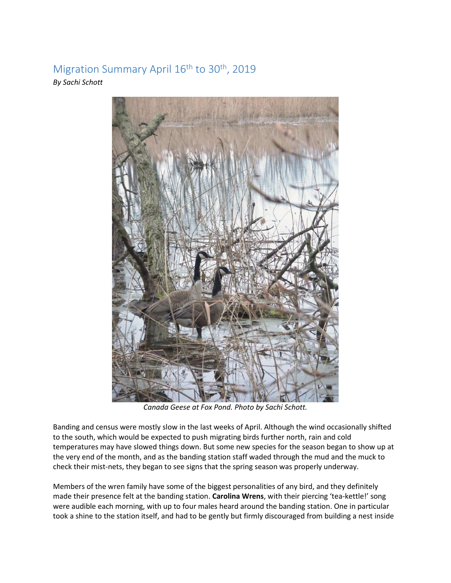## Migration Summary April 16<sup>th</sup> to 30<sup>th</sup>, 2019 *By Sachi Schott*



*Canada Geese at Fox Pond. Photo by Sachi Schott.* 

Banding and census were mostly slow in the last weeks of April. Although the wind occasionally shifted to the south, which would be expected to push migrating birds further north, rain and cold temperatures may have slowed things down. But some new species for the season began to show up at the very end of the month, and as the banding station staff waded through the mud and the muck to check their mist-nets, they began to see signs that the spring season was properly underway.

Members of the wren family have some of the biggest personalities of any bird, and they definitely made their presence felt at the banding station. **Carolina Wrens**, with their piercing 'tea-kettle!' song were audible each morning, with up to four males heard around the banding station. One in particular took a shine to the station itself, and had to be gently but firmly discouraged from building a nest inside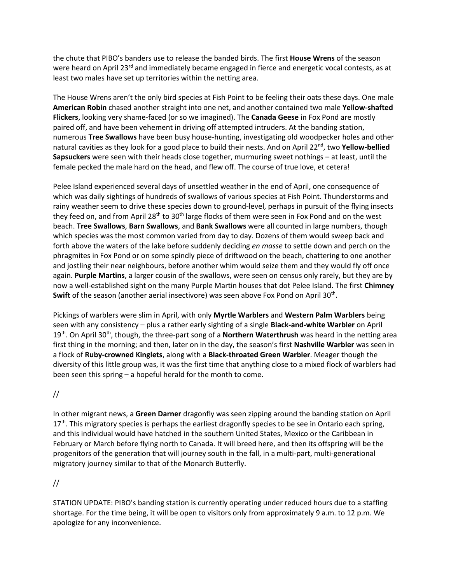the chute that PIBO's banders use to release the banded birds. The first **House Wrens** of the season were heard on April 23<sup>rd</sup> and immediately became engaged in fierce and energetic vocal contests, as at least two males have set up territories within the netting area.

The House Wrens aren't the only bird species at Fish Point to be feeling their oats these days. One male **American Robin** chased another straight into one net, and another contained two male **Yellow-shafted Flickers**, looking very shame-faced (or so we imagined). The **Canada Geese** in Fox Pond are mostly paired off, and have been vehement in driving off attempted intruders. At the banding station, numerous **Tree Swallows** have been busy house-hunting, investigating old woodpecker holes and other natural cavities as they look for a good place to build their nests. And on April 22nd, two **Yellow-bellied Sapsuckers** were seen with their heads close together, murmuring sweet nothings – at least, until the female pecked the male hard on the head, and flew off. The course of true love, et cetera!

Pelee Island experienced several days of unsettled weather in the end of April, one consequence of which was daily sightings of hundreds of swallows of various species at Fish Point. Thunderstorms and rainy weather seem to drive these species down to ground-level, perhaps in pursuit of the flying insects they feed on, and from April 28<sup>th</sup> to 30<sup>th</sup> large flocks of them were seen in Fox Pond and on the west beach. **Tree Swallows**, **Barn Swallows**, and **Bank Swallows** were all counted in large numbers, though which species was the most common varied from day to day. Dozens of them would sweep back and forth above the waters of the lake before suddenly deciding *en masse* to settle down and perch on the phragmites in Fox Pond or on some spindly piece of driftwood on the beach, chattering to one another and jostling their near neighbours, before another whim would seize them and they would fly off once again. **Purple Martins**, a larger cousin of the swallows, were seen on census only rarely, but they are by now a well-established sight on the many Purple Martin houses that dot Pelee Island. The first **Chimney**  Swift of the season (another aerial insectivore) was seen above Fox Pond on April 30<sup>th</sup>.

Pickings of warblers were slim in April, with only **Myrtle Warblers** and **Western Palm Warblers** being seen with any consistency – plus a rather early sighting of a single **Black-and-white Warbler** on April 19th. On April 30th, though, the three-part song of a **Northern Waterthrush** was heard in the netting area first thing in the morning; and then, later on in the day, the season's first **Nashville Warbler** was seen in a flock of **Ruby-crowned Kinglets**, along with a **Black-throated Green Warbler**. Meager though the diversity of this little group was, it was the first time that anything close to a mixed flock of warblers had been seen this spring – a hopeful herald for the month to come.

## //

In other migrant news, a **Green Darner** dragonfly was seen zipping around the banding station on April  $17<sup>th</sup>$ . This migratory species is perhaps the earliest dragonfly species to be see in Ontario each spring, and this individual would have hatched in the southern United States, Mexico or the Caribbean in February or March before flying north to Canada. It will breed here, and then its offspring will be the progenitors of the generation that will journey south in the fall, in a multi-part, multi-generational migratory journey similar to that of the Monarch Butterfly.

## //

STATION UPDATE: PIBO's banding station is currently operating under reduced hours due to a staffing shortage. For the time being, it will be open to visitors only from approximately 9 a.m. to 12 p.m. We apologize for any inconvenience.